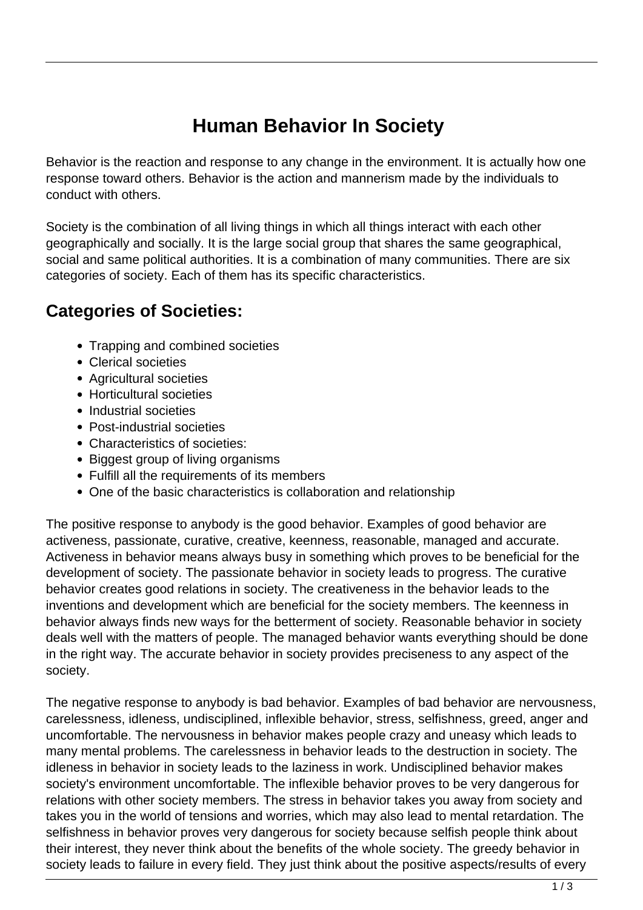## **Human Behavior In Society**

Behavior is the reaction and response to any change in the environment. It is actually how one response toward others. Behavior is the action and mannerism made by the individuals to conduct with others.

Society is the combination of all living things in which all things interact with each other geographically and socially. It is the large social group that shares the same geographical, social and same political authorities. It is a combination of many communities. There are six categories of society. Each of them has its specific characteristics.

## **Categories of Societies:**

- Trapping and combined societies
- Clerical societies
- Agricultural societies
- Horticultural societies
- Industrial societies
- Post-industrial societies
- Characteristics of societies:
- Biggest group of living organisms
- Fulfill all the requirements of its members
- One of the basic characteristics is collaboration and relationship

The positive response to anybody is the good behavior. Examples of good behavior are activeness, passionate, curative, creative, keenness, reasonable, managed and accurate. Activeness in behavior means always busy in something which proves to be beneficial for the development of society. The passionate behavior in society leads to progress. The curative behavior creates good relations in society. The creativeness in the behavior leads to the inventions and development which are beneficial for the society members. The keenness in behavior always finds new ways for the betterment of society. Reasonable behavior in society deals well with the matters of people. The managed behavior wants everything should be done in the right way. The accurate behavior in society provides preciseness to any aspect of the society.

The negative response to anybody is bad behavior. Examples of bad behavior are nervousness, carelessness, idleness, undisciplined, inflexible behavior, stress, selfishness, greed, anger and uncomfortable. The nervousness in behavior makes people crazy and uneasy which leads to many mental problems. The carelessness in behavior leads to the destruction in society. The idleness in behavior in society leads to the laziness in work. Undisciplined behavior makes society's environment uncomfortable. The inflexible behavior proves to be very dangerous for relations with other society members. The stress in behavior takes you away from society and takes you in the world of tensions and worries, which may also lead to mental retardation. The selfishness in behavior proves very dangerous for society because selfish people think about their interest, they never think about the benefits of the whole society. The greedy behavior in society leads to failure in every field. They just think about the positive aspects/results of every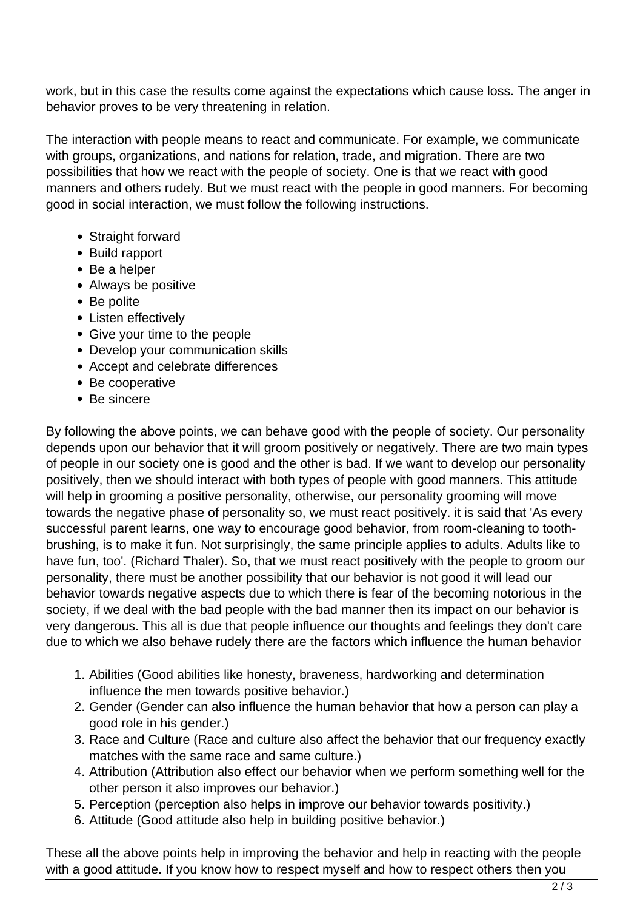work, but in this case the results come against the expectations which cause loss. The anger in behavior proves to be very threatening in relation.

The interaction with people means to react and communicate. For example, we communicate with groups, organizations, and nations for relation, trade, and migration. There are two possibilities that how we react with the people of society. One is that we react with good manners and others rudely. But we must react with the people in good manners. For becoming good in social interaction, we must follow the following instructions.

- Straight forward
- Build rapport
- Be a helper
- Always be positive
- Be polite
- Listen effectively
- Give your time to the people
- Develop your communication skills
- Accept and celebrate differences
- Be cooperative
- Be sincere

By following the above points, we can behave good with the people of society. Our personality depends upon our behavior that it will groom positively or negatively. There are two main types of people in our society one is good and the other is bad. If we want to develop our personality positively, then we should interact with both types of people with good manners. This attitude will help in grooming a positive personality, otherwise, our personality grooming will move towards the negative phase of personality so, we must react positively. it is said that 'As every successful parent learns, one way to encourage good behavior, from room-cleaning to toothbrushing, is to make it fun. Not surprisingly, the same principle applies to adults. Adults like to have fun, too'. (Richard Thaler). So, that we must react positively with the people to groom our personality, there must be another possibility that our behavior is not good it will lead our behavior towards negative aspects due to which there is fear of the becoming notorious in the society, if we deal with the bad people with the bad manner then its impact on our behavior is very dangerous. This all is due that people influence our thoughts and feelings they don't care due to which we also behave rudely there are the factors which influence the human behavior

- 1. Abilities (Good abilities like honesty, braveness, hardworking and determination influence the men towards positive behavior.)
- 2. Gender (Gender can also influence the human behavior that how a person can play a good role in his gender.)
- 3. Race and Culture (Race and culture also affect the behavior that our frequency exactly matches with the same race and same culture.)
- 4. Attribution (Attribution also effect our behavior when we perform something well for the other person it also improves our behavior.)
- 5. Perception (perception also helps in improve our behavior towards positivity.)
- 6. Attitude (Good attitude also help in building positive behavior.)

These all the above points help in improving the behavior and help in reacting with the people with a good attitude. If you know how to respect myself and how to respect others then you